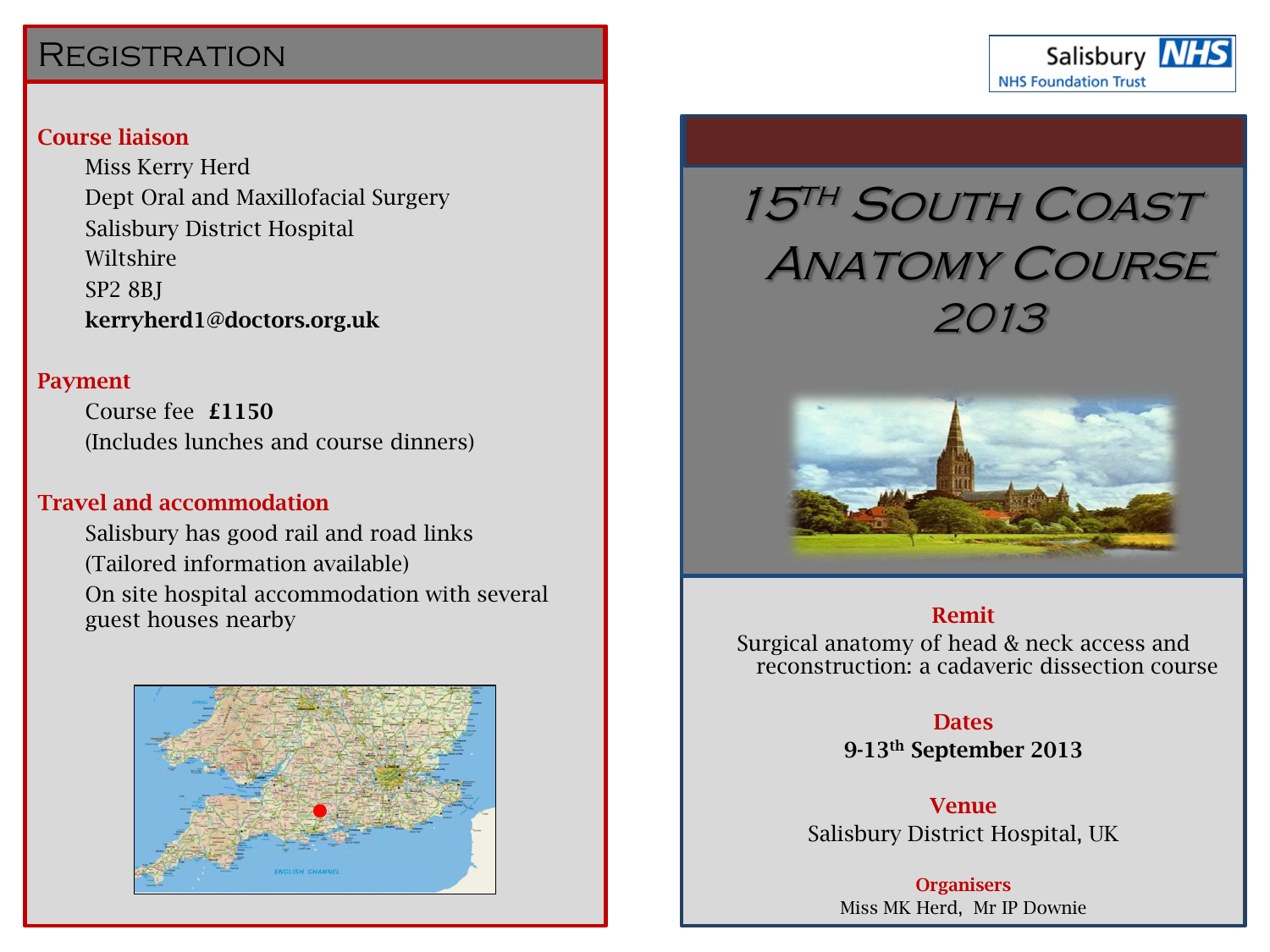## **REGISTRATION**

## **Course liaison**

Miss Kerry Herd Dept Oral and Maxillofacial Surgery Salisbury District Hospital Wiltshire SP2 8BJ **kerryherd1@doctors.org.uk**

#### **Payment**

Course fee **£1150** (Includes lunches and course dinners)

#### **Travel and accommodation**

Salisbury has good rail and road links (Tailored information available) On site hospital accommodation with several guest houses nearby



# 15TH SOUTH COAST **ANATOMY COURSE** 2013

Salisbury **NHS** 

**NHS Foundation Trust** 



#### **Remit**

Surgical anatomy of head & neck access and reconstruction: a cadaveric dissection course

## **Dates**

**9-13th September 2013**

**Venue** Salisbury District Hospital, UK

**Organisers** Miss MK Herd, Mr IP Downie